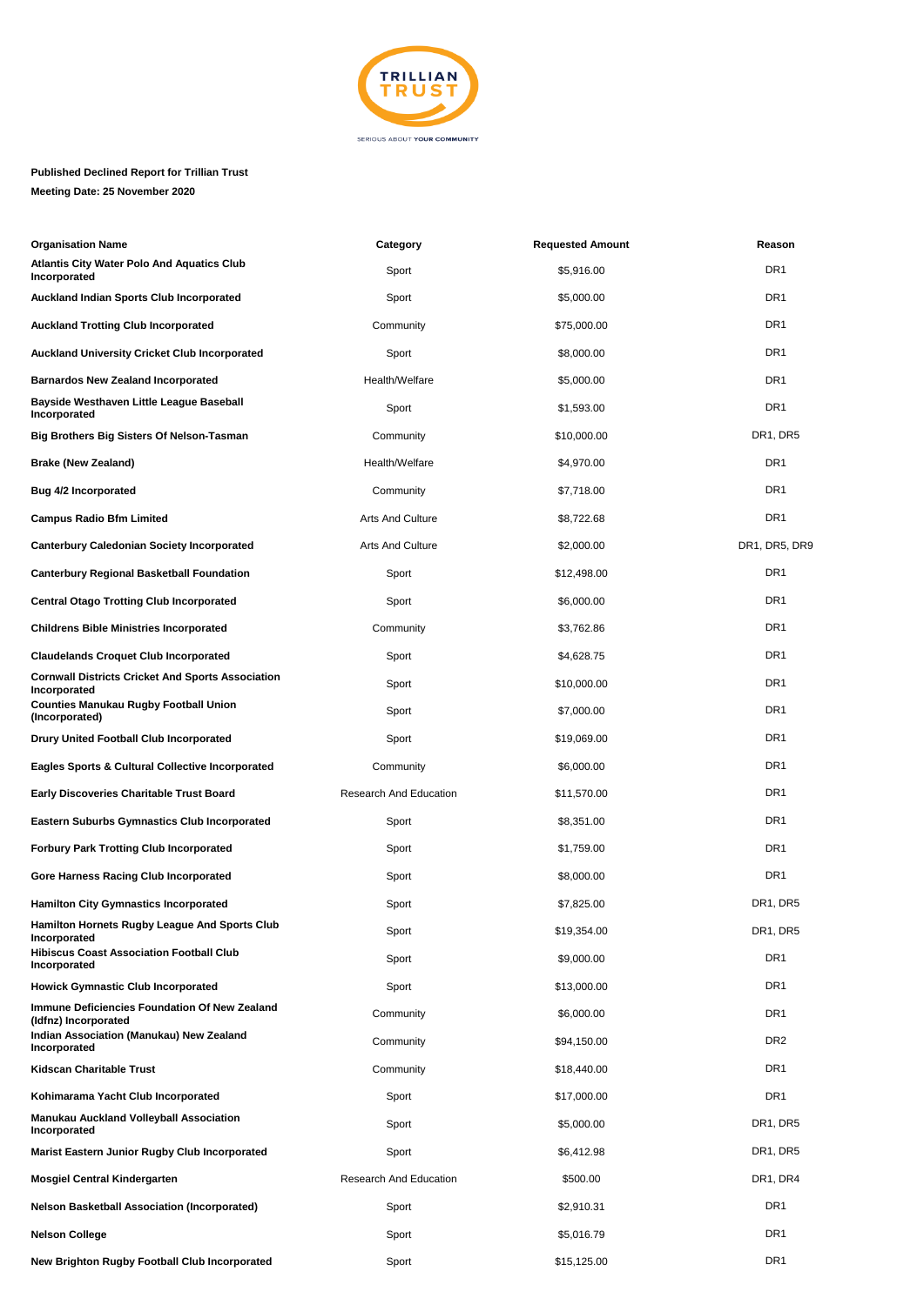

## **Published Declined Report for Trillian Trust Meeting Date: 25 November 2020**

| <b>Organisation Name</b>                                                 | Category               | <b>Requested Amount</b> | Reason          |
|--------------------------------------------------------------------------|------------------------|-------------------------|-----------------|
| <b>Atlantis City Water Polo And Aquatics Club</b><br>Incorporated        | Sport                  | \$5,916.00              | DR <sub>1</sub> |
| <b>Auckland Indian Sports Club Incorporated</b>                          | Sport                  | \$5,000.00              | DR <sub>1</sub> |
| <b>Auckland Trotting Club Incorporated</b>                               | Community              | \$75,000.00             | DR <sub>1</sub> |
| <b>Auckland University Cricket Club Incorporated</b>                     | Sport                  | \$8,000.00              | DR <sub>1</sub> |
| <b>Barnardos New Zealand Incorporated</b>                                | Health/Welfare         | \$5,000.00              | DR <sub>1</sub> |
| <b>Bayside Westhaven Little League Baseball</b><br>Incorporated          | Sport                  | \$1,593.00              | DR <sub>1</sub> |
| Big Brothers Big Sisters Of Nelson-Tasman                                | Community              | \$10,000.00             | DR1, DR5        |
| <b>Brake (New Zealand)</b>                                               | Health/Welfare         | \$4,970.00              | DR <sub>1</sub> |
| <b>Bug 4/2 Incorporated</b>                                              | Community              | \$7,718.00              | DR <sub>1</sub> |
| <b>Campus Radio Bfm Limited</b>                                          | Arts And Culture       | \$8,722.68              | DR <sub>1</sub> |
| <b>Canterbury Caledonian Society Incorporated</b>                        | Arts And Culture       | \$2,000.00              | DR1, DR5, DR9   |
| <b>Canterbury Regional Basketball Foundation</b>                         | Sport                  | \$12,498.00             | DR <sub>1</sub> |
| <b>Central Otago Trotting Club Incorporated</b>                          | Sport                  | \$6,000.00              | DR <sub>1</sub> |
| <b>Childrens Bible Ministries Incorporated</b>                           | Community              | \$3,762.86              | DR <sub>1</sub> |
| <b>Claudelands Croquet Club Incorporated</b>                             | Sport                  | \$4,628.75              | DR1             |
| <b>Cornwall Districts Cricket And Sports Association</b><br>Incorporated | Sport                  | \$10,000.00             | DR <sub>1</sub> |
| <b>Counties Manukau Rugby Football Union</b><br>(Incorporated)           | Sport                  | \$7,000.00              | DR <sub>1</sub> |
| <b>Drury United Football Club Incorporated</b>                           | Sport                  | \$19,069.00             | DR <sub>1</sub> |
| <b>Eagles Sports &amp; Cultural Collective Incorporated</b>              | Community              | \$6,000.00              | DR <sub>1</sub> |
| <b>Early Discoveries Charitable Trust Board</b>                          | Research And Education | \$11,570.00             | DR <sub>1</sub> |
| <b>Eastern Suburbs Gymnastics Club Incorporated</b>                      | Sport                  | \$8,351.00              | DR <sub>1</sub> |
| <b>Forbury Park Trotting Club Incorporated</b>                           | Sport                  | \$1,759.00              | DR1             |
| Gore Harness Racing Club Incorporated                                    | Sport                  | \$8,000.00              | DR <sub>1</sub> |
| <b>Hamilton City Gymnastics Incorporated</b>                             | Sport                  | \$7,825.00              | DR1, DR5        |
| Hamilton Hornets Rugby League And Sports Club<br>Incorporated            | Sport                  | \$19,354.00             | DR1, DR5        |
| <b>Hibiscus Coast Association Football Club</b><br>Incorporated          | Sport                  | \$9,000.00              | DR <sub>1</sub> |
| <b>Howick Gymnastic Club Incorporated</b>                                | Sport                  | \$13,000.00             | DR <sub>1</sub> |
| Immune Deficiencies Foundation Of New Zealand<br>(Idfnz) Incorporated    | Community              | \$6,000.00              | DR <sub>1</sub> |
| Indian Association (Manukau) New Zealand<br>Incorporated                 | Community              | \$94,150.00             | DR <sub>2</sub> |
| Kidscan Charitable Trust                                                 | Community              | \$18,440.00             | DR <sub>1</sub> |
| Kohimarama Yacht Club Incorporated                                       | Sport                  | \$17,000.00             | DR <sub>1</sub> |
| Manukau Auckland Volleyball Association<br>Incorporated                  | Sport                  | \$5,000.00              | DR1, DR5        |
| Marist Eastern Junior Rugby Club Incorporated                            | Sport                  | \$6,412.98              | DR1, DR5        |
| <b>Mosgiel Central Kindergarten</b>                                      | Research And Education | \$500.00                | DR1, DR4        |
| <b>Nelson Basketball Association (Incorporated)</b>                      | Sport                  | \$2,910.31              | DR <sub>1</sub> |
| <b>Nelson College</b>                                                    | Sport                  | \$5,016.79              | DR <sub>1</sub> |
| New Brighton Rugby Football Club Incorporated                            | Sport                  | \$15,125.00             | DR <sub>1</sub> |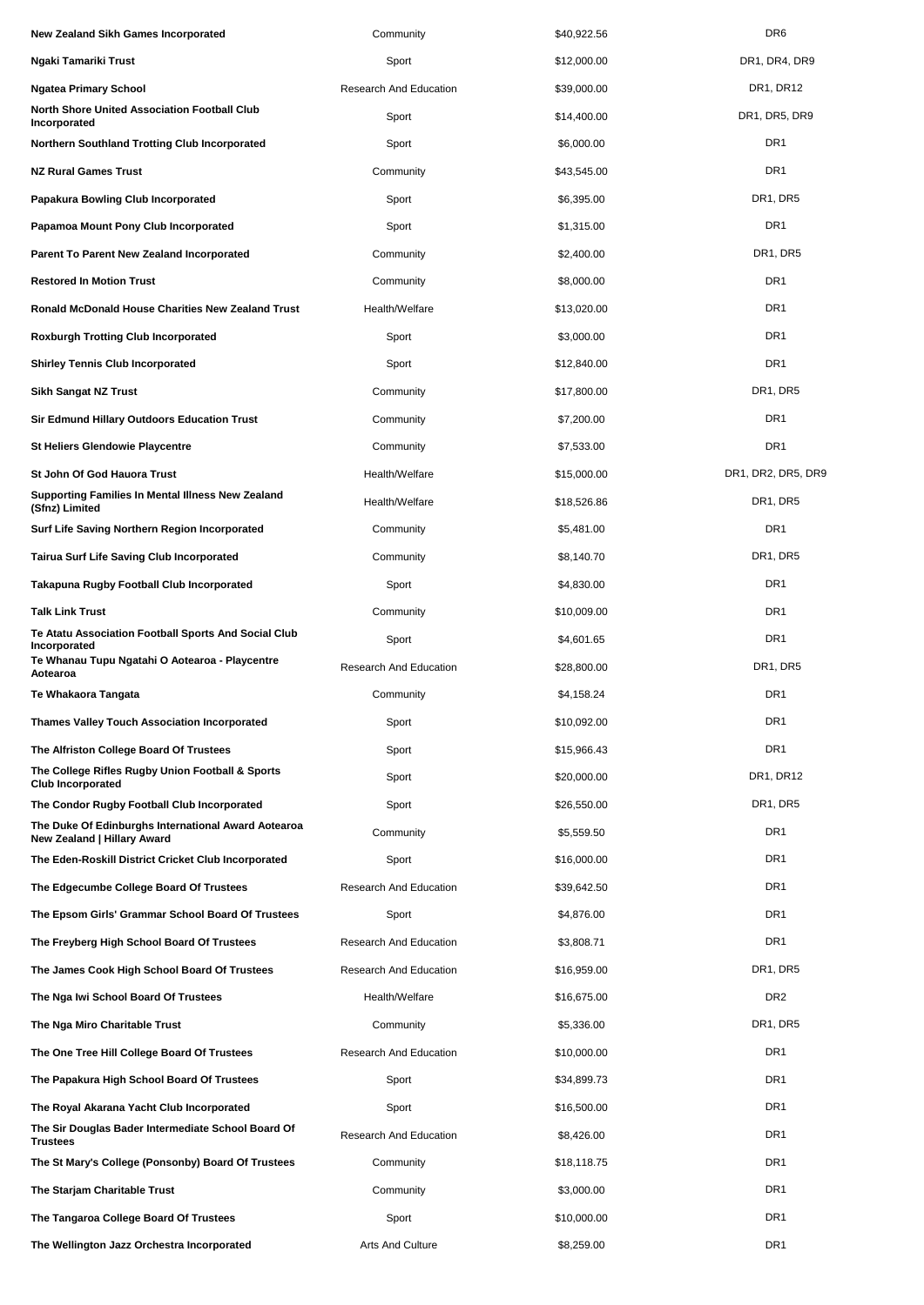| New Zealand Sikh Games Incorporated                                                | Community                     | \$40,922.56 | DR <sub>6</sub>                   |
|------------------------------------------------------------------------------------|-------------------------------|-------------|-----------------------------------|
| Ngaki Tamariki Trust                                                               | Sport                         | \$12,000.00 | DR1, DR4, DR9                     |
| Ngatea Primary School                                                              | <b>Research And Education</b> | \$39,000.00 | DR1, DR12                         |
| North Shore United Association Football Club<br>Incorporated                       | Sport                         | \$14,400.00 | DR1, DR5, DR9                     |
| Northern Southland Trotting Club Incorporated                                      | Sport                         | \$6,000.00  | DR <sub>1</sub>                   |
| <b>NZ Rural Games Trust</b>                                                        | Community                     | \$43,545.00 | DR <sub>1</sub>                   |
| Papakura Bowling Club Incorporated                                                 | Sport                         | \$6,395.00  | DR <sub>1</sub> , DR <sub>5</sub> |
| Papamoa Mount Pony Club Incorporated                                               | Sport                         | \$1,315.00  | DR <sub>1</sub>                   |
| Parent To Parent New Zealand Incorporated                                          | Community                     | \$2,400.00  | DR1, DR5                          |
| Restored In Motion Trust                                                           | Community                     | \$8,000.00  | DR <sub>1</sub>                   |
| Ronald McDonald House Charities New Zealand Trust                                  | Health/Welfare                | \$13,020.00 | DR <sub>1</sub>                   |
| Roxburgh Trotting Club Incorporated                                                | Sport                         | \$3,000.00  | DR <sub>1</sub>                   |
| <b>Shirley Tennis Club Incorporated</b>                                            | Sport                         | \$12,840.00 | DR <sub>1</sub>                   |
| Sikh Sangat NZ Trust                                                               | Community                     | \$17,800.00 | DR1, DR5                          |
| <b>Sir Edmund Hillary Outdoors Education Trust</b>                                 | Community                     | \$7,200.00  | DR <sub>1</sub>                   |
| <b>St Heliers Glendowie Playcentre</b>                                             | Community                     | \$7,533.00  | DR <sub>1</sub>                   |
| St John Of God Hauora Trust                                                        | Health/Welfare                | \$15,000.00 | DR1, DR2, DR5, DR9                |
| Supporting Families In Mental Illness New Zealand<br>(Sfnz) Limited                | Health/Welfare                | \$18,526.86 | DR1, DR5                          |
| Surf Life Saving Northern Region Incorporated                                      | Community                     | \$5,481.00  | DR <sub>1</sub>                   |
| Tairua Surf Life Saving Club Incorporated                                          | Community                     | \$8,140.70  | DR <sub>1</sub> , DR <sub>5</sub> |
| Takapuna Rugby Football Club Incorporated                                          | Sport                         | \$4,830.00  | DR <sub>1</sub>                   |
| Talk Link Trust                                                                    | Community                     | \$10,009.00 | DR <sub>1</sub>                   |
| Te Atatu Association Football Sports And Social Club<br>Incorporated               | Sport                         | \$4,601.65  | DR <sub>1</sub>                   |
| Te Whanau Tupu Ngatahi O Aotearoa - Playcentre<br>Aotearoa                         | Research And Education        | \$28,800.00 | DR1, DR5                          |
| Te Whakaora Tangata                                                                | Community                     | \$4,158.24  | DR <sub>1</sub>                   |
| Thames Valley Touch Association Incorporated                                       | Sport                         | \$10,092.00 | DR <sub>1</sub>                   |
| The Alfriston College Board Of Trustees                                            | Sport                         | \$15,966.43 | DR <sub>1</sub>                   |
| The College Rifles Rugby Union Football & Sports<br><b>Club Incorporated</b>       | Sport                         | \$20,000.00 | DR1, DR12                         |
| The Condor Rugby Football Club Incorporated                                        | Sport                         | \$26,550.00 | DR1, DR5                          |
| The Duke Of Edinburghs International Award Aotearoa<br>New Zealand   Hillary Award | Community                     | \$5,559.50  | DR <sub>1</sub>                   |
| The Eden-Roskill District Cricket Club Incorporated                                | Sport                         | \$16,000.00 | DR <sub>1</sub>                   |
| The Edgecumbe College Board Of Trustees                                            | Research And Education        | \$39,642.50 | DR <sub>1</sub>                   |
| The Epsom Girls' Grammar School Board Of Trustees                                  | Sport                         | \$4,876.00  | DR <sub>1</sub>                   |
| The Freyberg High School Board Of Trustees                                         | Research And Education        | \$3,808.71  | DR <sub>1</sub>                   |
| The James Cook High School Board Of Trustees                                       | Research And Education        | \$16,959.00 | DR1, DR5                          |
| The Nga Iwi School Board Of Trustees                                               | Health/Welfare                | \$16,675.00 | DR <sub>2</sub>                   |
| The Nga Miro Charitable Trust                                                      | Community                     | \$5,336.00  | DR <sub>1</sub> , DR <sub>5</sub> |
| The One Tree Hill College Board Of Trustees                                        | Research And Education        | \$10,000.00 | DR <sub>1</sub>                   |
| The Papakura High School Board Of Trustees                                         | Sport                         | \$34,899.73 | DR <sub>1</sub>                   |
| The Royal Akarana Yacht Club Incorporated                                          | Sport                         | \$16,500.00 | DR <sub>1</sub>                   |
| The Sir Douglas Bader Intermediate School Board Of<br><b>Trustees</b>              | <b>Research And Education</b> | \$8,426.00  | DR <sub>1</sub>                   |
| The St Mary's College (Ponsonby) Board Of Trustees                                 | Community                     | \$18,118.75 | DR <sub>1</sub>                   |
| The Starjam Charitable Trust                                                       | Community                     | \$3,000.00  | DR <sub>1</sub>                   |
| The Tangaroa College Board Of Trustees                                             | Sport                         | \$10,000.00 | DR <sub>1</sub>                   |
| The Wellington Jazz Orchestra Incorporated                                         | <b>Arts And Culture</b>       | \$8,259.00  | DR <sub>1</sub>                   |